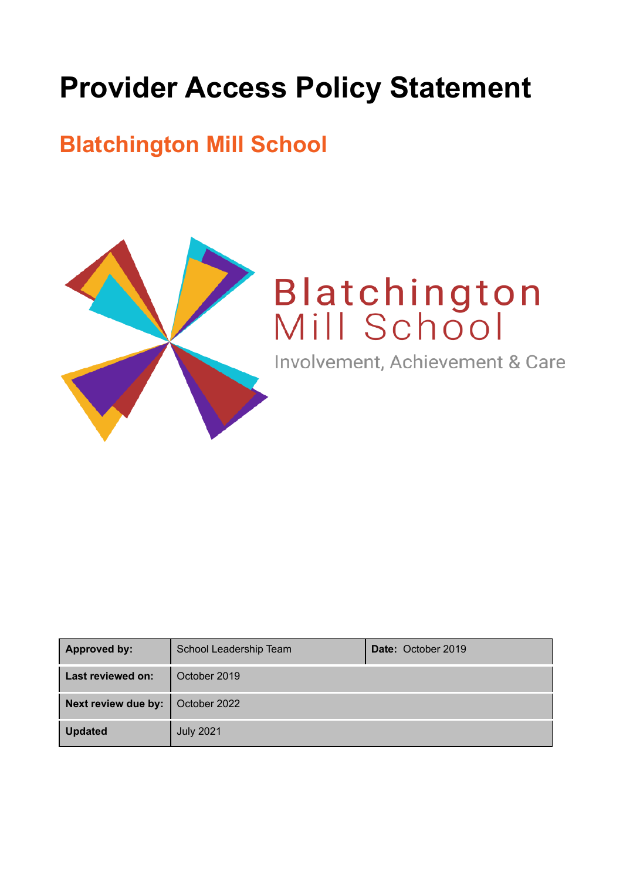# **Provider Access Policy Statement**

# **Blatchington Mill School**



# Blatchington<br>Mill School

Involvement, Achievement & Care

| <b>Approved by:</b> | School Leadership Team | <b>Date: October 2019</b> |
|---------------------|------------------------|---------------------------|
| Last reviewed on:   | October 2019           |                           |
| Next review due by: | October 2022           |                           |
| <b>Updated</b>      | <b>July 2021</b>       |                           |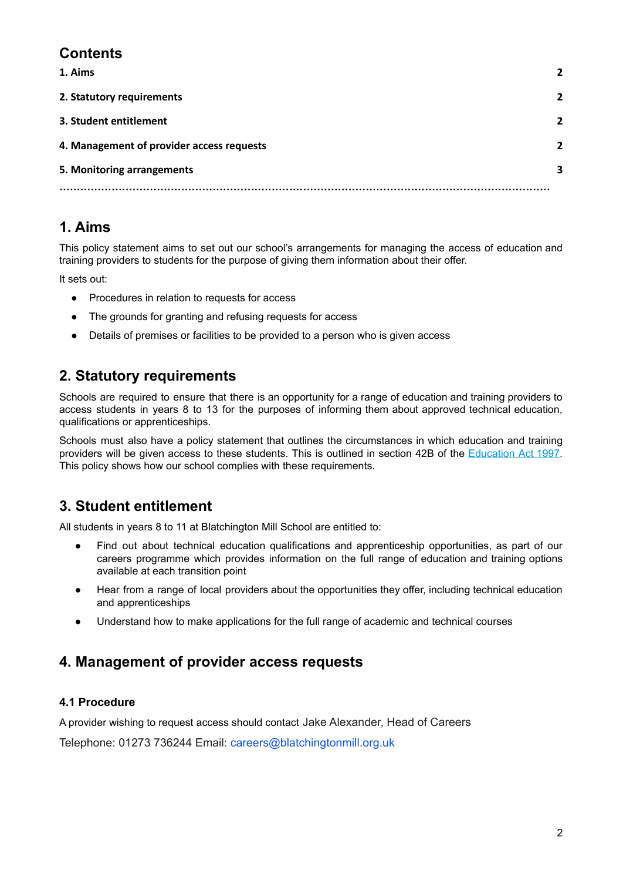# **Contents**

| 1. Aims                                   | $\overline{2}$ |
|-------------------------------------------|----------------|
| 2. Statutory requirements                 | $\overline{2}$ |
| 3. Student entitlement                    | $\overline{2}$ |
| 4. Management of provider access requests | $\overline{2}$ |
| 5. Monitoring arrangements                | 3              |
|                                           |                |

# <span id="page-1-0"></span>**1. Aims**

This policy statement aims to set out our school's arrangements for managing the access of education and training providers to students for the purpose of giving them information about their offer.

It sets out:

- Procedures in relation to requests for access
- The grounds for granting and refusing requests for access
- Details of premises or facilities to be provided to a person who is given access

## <span id="page-1-1"></span>**2. Statutory requirements**

Schools are required to ensure that there is an opportunity for a range of education and training providers to access students in years 8 to 13 for the purposes of informing them about approved technical education, qualifications or apprenticeships.

Schools must also have a policy statement that outlines the circumstances in which education and training providers will be given access to these students. This is outlined in section 42B of the [Education](https://www.legislation.gov.uk/ukpga/1997/44/section/42B) Act 1997. This policy shows how our school complies with these requirements.

## <span id="page-1-2"></span>**3. Student entitlement**

All students in years 8 to 11 at Blatchington Mill School are entitled to:

- Find out about technical education qualifications and apprenticeship opportunities, as part of our careers programme which provides information on the full range of education and training options available at each transition point
- Hear from a range of local providers about the opportunities they offer, including technical education and apprenticeships
- Understand how to make applications for the full range of academic and technical courses

## <span id="page-1-3"></span>**4. Management of provider access requests**

#### **4.1 Procedure**

A provider wishing to request access should contact Jake Alexander, Head of Careers

Telephone: 01273 736244 Email: careers@blatchingtonmill.org.uk